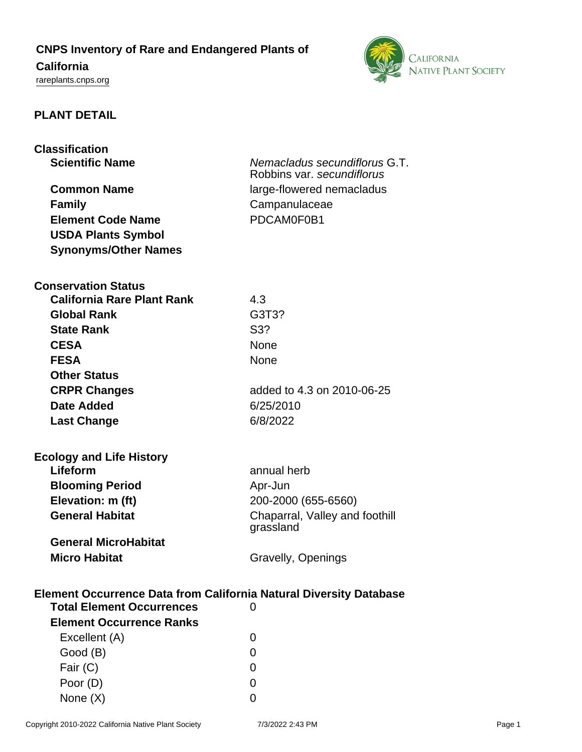## **CNPS Inventory of Rare and Endangered Plants of**

# **California**

<rareplants.cnps.org>



### **PLANT DETAIL**

| <b>Scientific Name</b><br>Nemacladus secundiflorus G.T.<br>Robbins var. secundiflorus<br><b>Common Name</b><br>large-flowered nemacladus<br>Campanulaceae<br><b>Family</b><br>PDCAM0F0B1<br><b>Element Code Name</b><br><b>USDA Plants Symbol</b><br><b>Synonyms/Other Names</b><br><b>Conservation Status</b><br><b>California Rare Plant Rank</b><br>4.3<br>G3T3?<br><b>Global Rank</b><br><b>State Rank</b><br>S3?<br><b>CESA</b><br>None<br><b>None</b><br><b>FESA</b><br><b>Other Status</b> |  |  |
|---------------------------------------------------------------------------------------------------------------------------------------------------------------------------------------------------------------------------------------------------------------------------------------------------------------------------------------------------------------------------------------------------------------------------------------------------------------------------------------------------|--|--|
|                                                                                                                                                                                                                                                                                                                                                                                                                                                                                                   |  |  |
|                                                                                                                                                                                                                                                                                                                                                                                                                                                                                                   |  |  |
|                                                                                                                                                                                                                                                                                                                                                                                                                                                                                                   |  |  |
|                                                                                                                                                                                                                                                                                                                                                                                                                                                                                                   |  |  |
|                                                                                                                                                                                                                                                                                                                                                                                                                                                                                                   |  |  |
|                                                                                                                                                                                                                                                                                                                                                                                                                                                                                                   |  |  |
|                                                                                                                                                                                                                                                                                                                                                                                                                                                                                                   |  |  |
|                                                                                                                                                                                                                                                                                                                                                                                                                                                                                                   |  |  |
|                                                                                                                                                                                                                                                                                                                                                                                                                                                                                                   |  |  |
|                                                                                                                                                                                                                                                                                                                                                                                                                                                                                                   |  |  |
|                                                                                                                                                                                                                                                                                                                                                                                                                                                                                                   |  |  |
|                                                                                                                                                                                                                                                                                                                                                                                                                                                                                                   |  |  |
|                                                                                                                                                                                                                                                                                                                                                                                                                                                                                                   |  |  |
|                                                                                                                                                                                                                                                                                                                                                                                                                                                                                                   |  |  |
|                                                                                                                                                                                                                                                                                                                                                                                                                                                                                                   |  |  |
| <b>CRPR Changes</b><br>added to 4.3 on 2010-06-25                                                                                                                                                                                                                                                                                                                                                                                                                                                 |  |  |
| 6/25/2010<br>Date Added                                                                                                                                                                                                                                                                                                                                                                                                                                                                           |  |  |
| 6/8/2022<br><b>Last Change</b>                                                                                                                                                                                                                                                                                                                                                                                                                                                                    |  |  |
|                                                                                                                                                                                                                                                                                                                                                                                                                                                                                                   |  |  |
| <b>Ecology and Life History</b>                                                                                                                                                                                                                                                                                                                                                                                                                                                                   |  |  |
| Lifeform<br>annual herb                                                                                                                                                                                                                                                                                                                                                                                                                                                                           |  |  |
| <b>Blooming Period</b><br>Apr-Jun                                                                                                                                                                                                                                                                                                                                                                                                                                                                 |  |  |
| Elevation: m (ft)<br>200-2000 (655-6560)                                                                                                                                                                                                                                                                                                                                                                                                                                                          |  |  |
| <b>General Habitat</b><br>Chaparral, Valley and foothill                                                                                                                                                                                                                                                                                                                                                                                                                                          |  |  |
| grassland                                                                                                                                                                                                                                                                                                                                                                                                                                                                                         |  |  |
| <b>General MicroHabitat</b>                                                                                                                                                                                                                                                                                                                                                                                                                                                                       |  |  |
| <b>Micro Habitat</b><br>Gravelly, Openings                                                                                                                                                                                                                                                                                                                                                                                                                                                        |  |  |
|                                                                                                                                                                                                                                                                                                                                                                                                                                                                                                   |  |  |
| <b>Element Occurrence Data from California Natural Diversity Database</b>                                                                                                                                                                                                                                                                                                                                                                                                                         |  |  |
| <b>Total Element Occurrences</b><br>0                                                                                                                                                                                                                                                                                                                                                                                                                                                             |  |  |
| <b>Element Occurrence Ranks</b>                                                                                                                                                                                                                                                                                                                                                                                                                                                                   |  |  |
| Excellent (A)<br>O                                                                                                                                                                                                                                                                                                                                                                                                                                                                                |  |  |
| Good (B)<br>O                                                                                                                                                                                                                                                                                                                                                                                                                                                                                     |  |  |
| Fair (C)<br>0                                                                                                                                                                                                                                                                                                                                                                                                                                                                                     |  |  |
| Poor (D)<br>0                                                                                                                                                                                                                                                                                                                                                                                                                                                                                     |  |  |

None  $(X)$  0